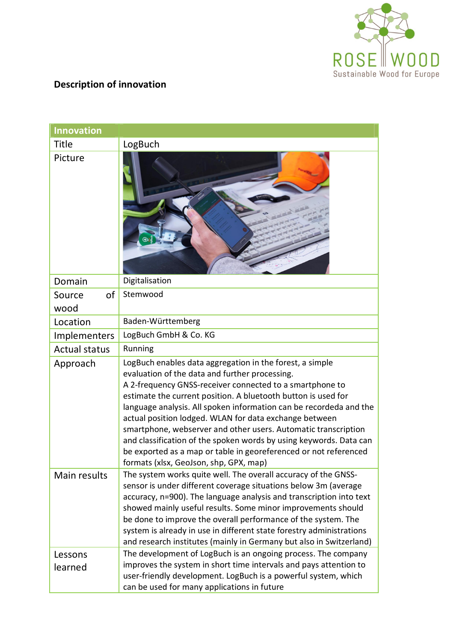

## **Description of innovation**

| <b>Innovation</b>    |                                                                                                                                                                                                                                                                                                                                                                                                                                                                                                                                                                                                                               |  |
|----------------------|-------------------------------------------------------------------------------------------------------------------------------------------------------------------------------------------------------------------------------------------------------------------------------------------------------------------------------------------------------------------------------------------------------------------------------------------------------------------------------------------------------------------------------------------------------------------------------------------------------------------------------|--|
| <b>Title</b>         | LogBuch                                                                                                                                                                                                                                                                                                                                                                                                                                                                                                                                                                                                                       |  |
| Picture              |                                                                                                                                                                                                                                                                                                                                                                                                                                                                                                                                                                                                                               |  |
| Domain               | Digitalisation                                                                                                                                                                                                                                                                                                                                                                                                                                                                                                                                                                                                                |  |
| Source<br>of         | Stemwood                                                                                                                                                                                                                                                                                                                                                                                                                                                                                                                                                                                                                      |  |
| wood                 |                                                                                                                                                                                                                                                                                                                                                                                                                                                                                                                                                                                                                               |  |
| Location             | Baden-Württemberg                                                                                                                                                                                                                                                                                                                                                                                                                                                                                                                                                                                                             |  |
| Implementers         | LogBuch GmbH & Co. KG                                                                                                                                                                                                                                                                                                                                                                                                                                                                                                                                                                                                         |  |
| <b>Actual status</b> | Running                                                                                                                                                                                                                                                                                                                                                                                                                                                                                                                                                                                                                       |  |
| Approach             | LogBuch enables data aggregation in the forest, a simple<br>evaluation of the data and further processing.<br>A 2-frequency GNSS-receiver connected to a smartphone to<br>estimate the current position. A bluetooth button is used for<br>language analysis. All spoken information can be recordeda and the<br>actual position lodged. WLAN for data exchange between<br>smartphone, webserver and other users. Automatic transcription<br>and classification of the spoken words by using keywords. Data can<br>be exported as a map or table in georeferenced or not referenced<br>formats (xlsx, GeoJson, shp, GPX, map) |  |
| Main results         | The system works quite well. The overall accuracy of the GNSS-<br>sensor is under different coverage situations below 3m (average<br>accuracy, n=900). The language analysis and transcription into text<br>showed mainly useful results. Some minor improvements should<br>be done to improve the overall performance of the system. The<br>system is already in use in different state forestry administrations<br>and research institutes (mainly in Germany but also in Switzerland)                                                                                                                                      |  |
| Lessons<br>learned   | The development of LogBuch is an ongoing process. The company<br>improves the system in short time intervals and pays attention to<br>user-friendly development. LogBuch is a powerful system, which<br>can be used for many applications in future                                                                                                                                                                                                                                                                                                                                                                           |  |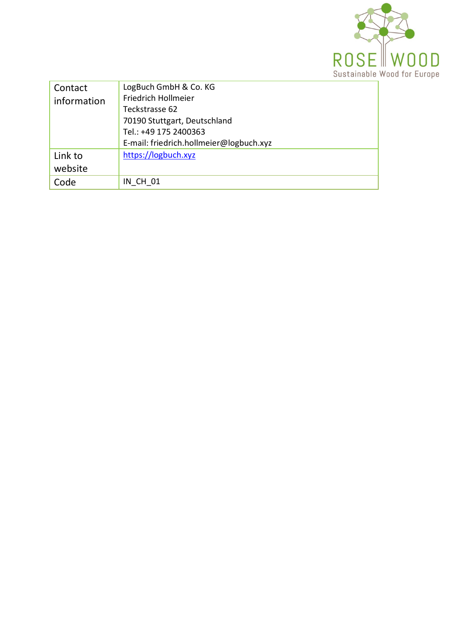

| Contact<br>information     | LogBuch GmbH & Co. KG<br>Friedrich Hollmeier<br>Teckstrasse 62<br>70190 Stuttgart, Deutschland<br>Tel.: +49 175 2400363<br>E-mail: friedrich.hollmeier@logbuch.xyz |
|----------------------------|--------------------------------------------------------------------------------------------------------------------------------------------------------------------|
| Link to<br>website<br>Code | https://logbuch.xyz<br><b>IN CH 01</b>                                                                                                                             |